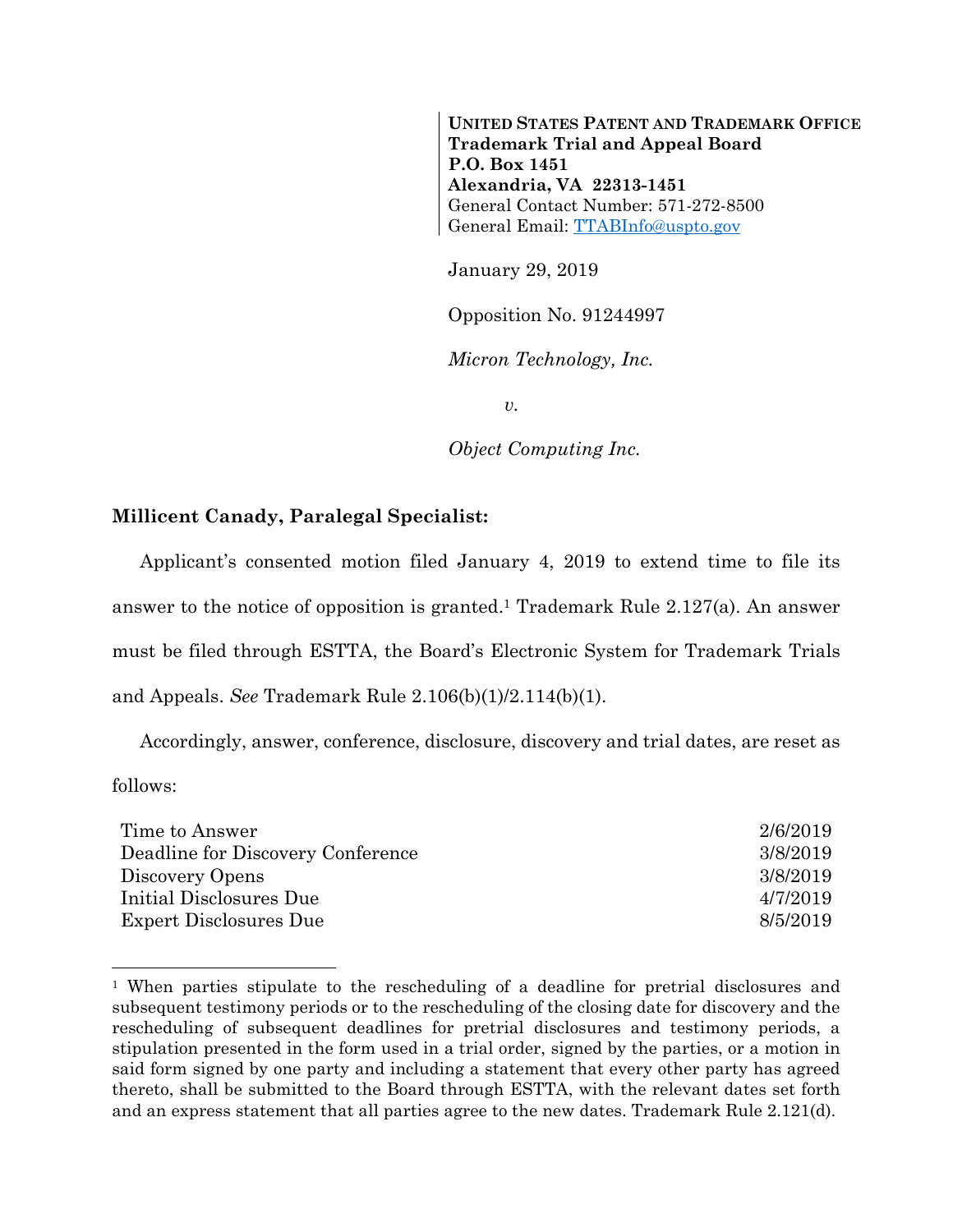**UNITED STATES PATENT AND TRADEMARK OFFICE Trademark Trial and Appeal Board P.O. Box 1451 Alexandria, VA 22313-1451**  General Contact Number: 571-272-8500 General Email: TTABInfo@uspto.gov

January 29, 2019

Opposition No. 91244997

*Micron Technology, Inc.* 

*v.* 

*Object Computing Inc.* 

## **Millicent Canady, Paralegal Specialist:**

 $\overline{a}$ 

Applicant's consented motion filed January 4, 2019 to extend time to file its answer to the notice of opposition is granted.1 Trademark Rule 2.127(a). An answer must be filed through ESTTA, the Board's Electronic System for Trademark Trials and Appeals. *See* Trademark Rule 2.106(b)(1)/2.114(b)(1).

Accordingly, answer, conference, disclosure, discovery and trial dates, are reset as follows:

| Time to Answer                    | 2/6/2019 |
|-----------------------------------|----------|
| Deadline for Discovery Conference | 3/8/2019 |
| Discovery Opens                   | 3/8/2019 |
| Initial Disclosures Due           | 4/7/2019 |
| Expert Disclosures Due            | 8/5/2019 |

<sup>1</sup> When parties stipulate to the rescheduling of a deadline for pretrial disclosures and subsequent testimony periods or to the rescheduling of the closing date for discovery and the rescheduling of subsequent deadlines for pretrial disclosures and testimony periods, a stipulation presented in the form used in a trial order, signed by the parties, or a motion in said form signed by one party and including a statement that every other party has agreed thereto, shall be submitted to the Board through ESTTA, with the relevant dates set forth and an express statement that all parties agree to the new dates. Trademark Rule 2.121(d).